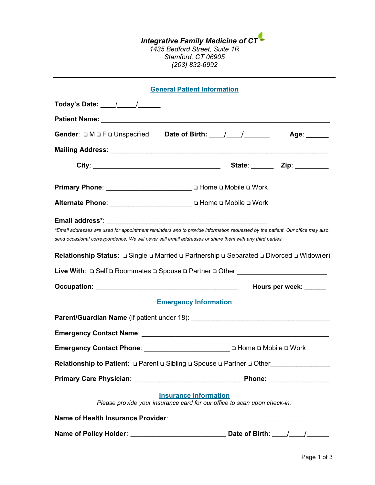#### *Integrative Family Medicine of CT 1435 Bedford Street, Suite 1R Stamford, CT 06905 (203) 832-6992*

|                                                                                                                                                                                                                                                                                                                                          | <b>General Patient Information</b> |                             |  |  |  |
|------------------------------------------------------------------------------------------------------------------------------------------------------------------------------------------------------------------------------------------------------------------------------------------------------------------------------------------|------------------------------------|-----------------------------|--|--|--|
| Today's Date: ____/_____/______                                                                                                                                                                                                                                                                                                          |                                    |                             |  |  |  |
|                                                                                                                                                                                                                                                                                                                                          |                                    |                             |  |  |  |
|                                                                                                                                                                                                                                                                                                                                          |                                    |                             |  |  |  |
|                                                                                                                                                                                                                                                                                                                                          |                                    |                             |  |  |  |
|                                                                                                                                                                                                                                                                                                                                          |                                    | State: _______ Zip: _______ |  |  |  |
| Primary Phone: __________________________________ □ Home □ Mobile □ Work                                                                                                                                                                                                                                                                 |                                    |                             |  |  |  |
|                                                                                                                                                                                                                                                                                                                                          |                                    |                             |  |  |  |
| *Email addresses are used for appointment reminders and to provide information requested by the patient. Our office may also<br>send occasional correspondence. We will never sell email addresses or share them with any third parties.<br>(Widow(er ב Separated ⊡ Divorced ב Partnership ב Separated ב Single ב Relationship Status: ב |                                    |                             |  |  |  |
| Live With: □ Self □ Roommates □ Spouse □ Partner □ Other _______________________                                                                                                                                                                                                                                                         |                                    |                             |  |  |  |
|                                                                                                                                                                                                                                                                                                                                          | Hours per week: _____              |                             |  |  |  |
|                                                                                                                                                                                                                                                                                                                                          | <b>Emergency Information</b>       |                             |  |  |  |
|                                                                                                                                                                                                                                                                                                                                          |                                    |                             |  |  |  |
|                                                                                                                                                                                                                                                                                                                                          |                                    |                             |  |  |  |
| Emergency Contact Phone: ________________________________ □ Home □ Mobile □ Work                                                                                                                                                                                                                                                         |                                    |                             |  |  |  |
|                                                                                                                                                                                                                                                                                                                                          |                                    |                             |  |  |  |
|                                                                                                                                                                                                                                                                                                                                          |                                    |                             |  |  |  |
| <b>Insurance Information</b><br>Please provide your insurance card for our office to scan upon check-in.                                                                                                                                                                                                                                 |                                    |                             |  |  |  |
|                                                                                                                                                                                                                                                                                                                                          |                                    |                             |  |  |  |
|                                                                                                                                                                                                                                                                                                                                          |                                    |                             |  |  |  |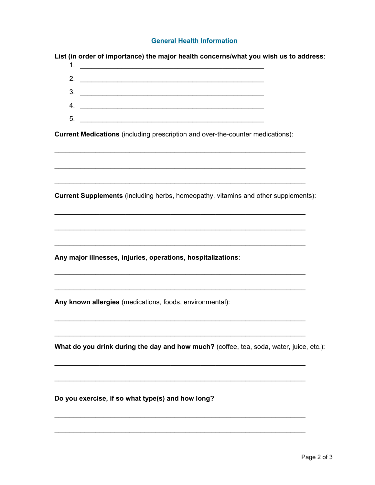#### **General Health Information**

List (in order of importance) the major health concerns/what you wish us to address:

|    | 1. <u>__________________________</u> |
|----|--------------------------------------|
|    | 2. $\qquad \qquad$                   |
|    |                                      |
|    | 4.                                   |
| -5 |                                      |

**Current Medications** (including prescription and over-the-counter medications):

Current Supplements (including herbs, homeopathy, vitamins and other supplements):

Any major illnesses, injuries, operations, hospitalizations:

Any known allergies (medications, foods, environmental):

What do you drink during the day and how much? (coffee, tea, soda, water, juice, etc.):

Do you exercise, if so what type(s) and how long?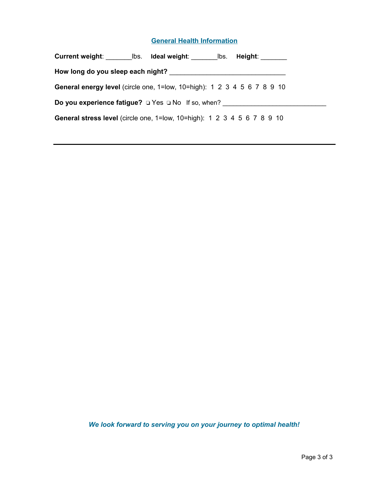#### **General Health Information**

| How long do you sleep each night?                                       |  |  |  |  |  |
|-------------------------------------------------------------------------|--|--|--|--|--|
| General energy level (circle one, 1=low, 10=high): 1 2 3 4 5 6 7 8 9 10 |  |  |  |  |  |
| <b>Do you experience fatigue?</b> $\Box$ Yes $\Box$ No If so, when?     |  |  |  |  |  |
| General stress level (circle one, 1=low, 10=high): 1 2 3 4 5 6 7 8 9 10 |  |  |  |  |  |

*We look forward to serving you on your journey to optimal health!*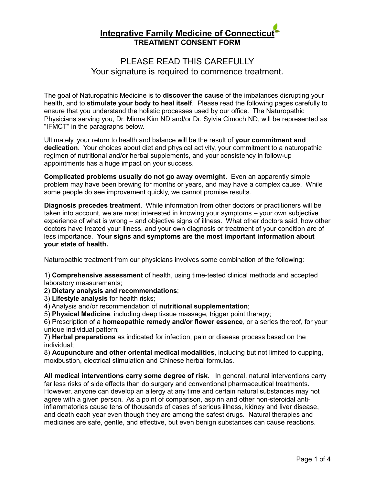## PLEASE READ THIS CAREFULLY Your signature is required to commence treatment.

The goal of Naturopathic Medicine is to **discover the cause** of the imbalances disrupting your health, and to **stimulate your body to heal itself**. Please read the following pages carefully to ensure that you understand the holistic processes used by our office. The Naturopathic Physicians serving you, Dr. Minna Kim ND and/or Dr. Sylvia Cimoch ND, will be represented as "IFMCT" in the paragraphs below.

Ultimately, your return to health and balance will be the result of **your commitment and dedication**. Your choices about diet and physical activity, your commitment to a naturopathic regimen of nutritional and/or herbal supplements, and your consistency in follow-up appointments has a huge impact on your success.

**Complicated problems usually do not go away overnight**. Even an apparently simple problem may have been brewing for months or years, and may have a complex cause. While some people do see improvement quickly, we cannot promise results.

**Diagnosis precedes treatment**. While information from other doctors or practitioners will be taken into account, we are most interested in knowing your symptoms – your own subjective experience of what is wrong – and objective signs of illness. What other doctors said, how other doctors have treated your illness, and your own diagnosis or treatment of your condition are of less importance. **Your signs and symptoms are the most important information about your state of health.**

Naturopathic treatment from our physicians involves some combination of the following:

1) **Comprehensive assessment** of health, using time-tested clinical methods and accepted laboratory measurements;

2) **Dietary analysis and recommendations**;

3) **Lifestyle analysis** for health risks;

4) Analysis and/or recommendation of **nutritional supplementation**;

5) **Physical Medicine**, including deep tissue massage, trigger point therapy;

6) Prescription of a **homeopathic remedy and/or flower essence**, or a series thereof, for your unique individual pattern;

7) **Herbal preparations** as indicated for infection, pain or disease process based on the individual;

8) **Acupuncture and other oriental medical modalities**, including but not limited to cupping, moxibustion, electrical stimulation and Chinese herbal formulas.

**All medical interventions carry some degree of risk.** In general, natural interventions carry far less risks of side effects than do surgery and conventional pharmaceutical treatments. However, anyone can develop an allergy at any time and certain natural substances may not agree with a given person. As a point of comparison, aspirin and other non-steroidal antiinflammatories cause tens of thousands of cases of serious illness, kidney and liver disease, and death each year even though they are among the safest drugs. Natural therapies and medicines are safe, gentle, and effective, but even benign substances can cause reactions.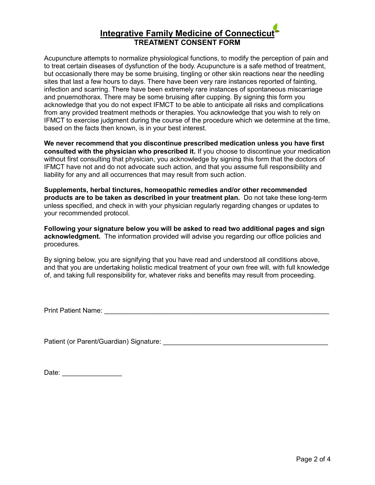Acupuncture attempts to normalize physiological functions, to modify the perception of pain and to treat certain diseases of dysfunction of the body. Acupuncture is a safe method of treatment, but occasionally there may be some bruising, tingling or other skin reactions near the needling sites that last a few hours to days. There have been very rare instances reported of fainting, infection and scarring. There have been extremely rare instances of spontaneous miscarriage and pnuemothorax. There may be some bruising after cupping. By signing this form you acknowledge that you do not expect IFMCT to be able to anticipate all risks and complications from any provided treatment methods or therapies. You acknowledge that you wish to rely on IFMCT to exercise judgment during the course of the procedure which we determine at the time, based on the facts then known, is in your best interest.

**We never recommend that you discontinue prescribed medication unless you have first consulted with the physician who prescribed it.** If you choose to discontinue your medication without first consulting that physician, you acknowledge by signing this form that the doctors of IFMCT have not and do not advocate such action, and that you assume full responsibility and liability for any and all occurrences that may result from such action.

**Supplements, herbal tinctures, homeopathic remedies and/or other recommended products are to be taken as described in your treatment plan.** Do not take these long-term unless specified, and check in with your physician regularly regarding changes or updates to your recommended protocol.

**Following your signature below you will be asked to read two additional pages and sign acknowledgment.** The information provided will advise you regarding our office policies and procedures.

By signing below, you are signifying that you have read and understood all conditions above, and that you are undertaking holistic medical treatment of your own free will, with full knowledge of, and taking full responsibility for, whatever risks and benefits may result from proceeding.

Print Patient Name: \_\_\_\_\_\_\_\_\_\_\_\_\_\_\_\_\_\_\_\_\_\_\_\_\_\_\_\_\_\_\_\_\_\_\_\_\_\_\_\_\_\_\_\_\_\_\_\_\_\_\_\_\_\_\_\_\_\_\_\_

Patient (or Parent/Guardian) Signature: \_\_\_\_\_\_\_\_\_\_\_\_\_\_\_\_\_\_\_\_\_\_\_\_\_\_\_\_\_\_\_\_\_\_\_\_\_\_\_\_\_\_\_\_

| Date: |  |  |  |  |
|-------|--|--|--|--|
|       |  |  |  |  |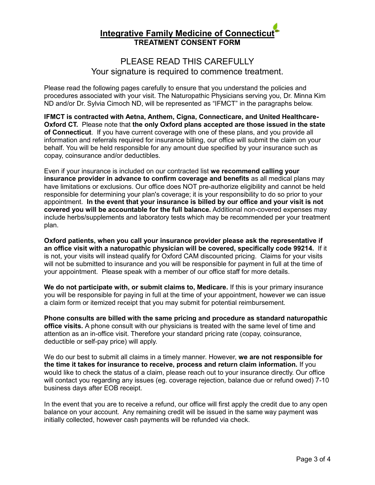## PLEASE READ THIS CAREFULLY Your signature is required to commence treatment.

Please read the following pages carefully to ensure that you understand the policies and procedures associated with your visit. The Naturopathic Physicians serving you, Dr. Minna Kim ND and/or Dr. Sylvia Cimoch ND, will be represented as "IFMCT" in the paragraphs below.

**IFMCT is contracted with Aetna, Anthem, Cigna, Connecticare, and United Healthcare-Oxford CT.** Please note that **the only Oxford plans accepted are those issued in the state of Connecticut**.If you have current coverage with one of these plans, and you provide all information and referrals required for insurance billing, our office will submit the claim on your behalf. You will be held responsible for any amount due specified by your insurance such as copay, coinsurance and/or deductibles.

Even if your insurance is included on our contracted list **we recommend calling your insurance provider in advance to confirm coverage and benefits** as all medical plans may have limitations or exclusions. Our office does NOT pre-authorize eligibility and cannot be held responsible for determining your plan's coverage; it is your responsibility to do so prior to your appointment. **In the event that your insurance is billed by our office and your visit is not covered you will be accountable for the full balance.** Additional non-covered expenses may include herbs/supplements and laboratory tests which may be recommended per your treatment plan.

**Oxford patients, when you call your insurance provider please ask the representative if an office visit with a naturopathic physician will be covered, specifically code 99214.** If it is not, your visits will instead qualify for Oxford CAM discounted pricing. Claims for your visits will not be submitted to insurance and you will be responsible for payment in full at the time of your appointment. Please speak with a member of our office staff for more details.

**We do not participate with, or submit claims to, Medicare.** If this is your primary insurance you will be responsible for paying in full at the time of your appointment, however we can issue a claim form or itemized receipt that you may submit for potential reimbursement.

**Phone consults are billed with the same pricing and procedure as standard naturopathic office visits.** A phone consult with our physicians is treated with the same level of time and attention as an in-office visit. Therefore your standard pricing rate (copay, coinsurance, deductible or self-pay price) will apply.

We do our best to submit all claims in a timely manner. However, **we are not responsible for the time it takes for insurance to receive, process and return claim information.** If you would like to check the status of a claim, please reach out to your insurance directly. Our office will contact you regarding any issues (eg. coverage rejection, balance due or refund owed) 7-10 business days after EOB receipt.

In the event that you are to receive a refund, our office will first apply the credit due to any open balance on your account. Any remaining credit will be issued in the same way payment was initially collected, however cash payments will be refunded via check.